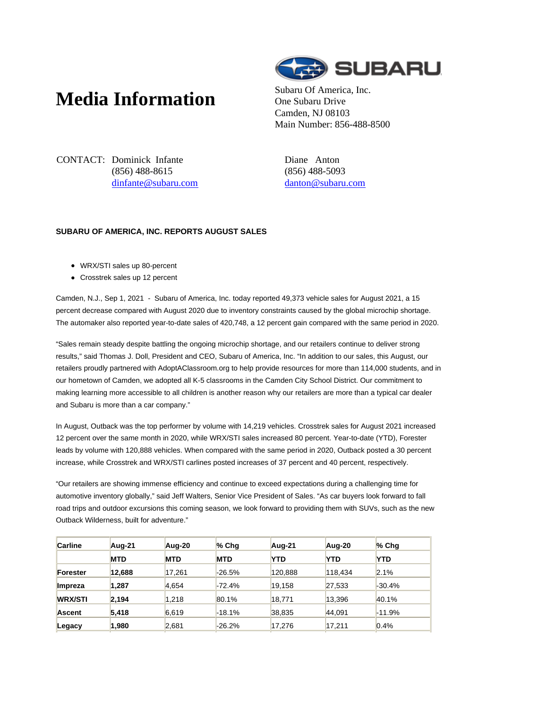## **Media Information** Subaru Of America, Inc.



One Subaru Drive Camden, NJ 08103 Main Number: 856-488-8500

CONTACT: Dominick Infante (856) 488-8615 dinfante@subaru.com Diane Anton (856) 488-5093 danton@subaru.com

## **SUBARU OF AMERICA, INC. REPORTS AUGUST SALES**

- WRX/STI sales up 80-percent
- Crosstrek sales up 12 percent

Camden, N.J., Sep 1, 2021 - Subaru of America, Inc. today reported 49,373 vehicle sales for August 2021, a 15 percent decrease compared with August 2020 due to inventory constraints caused by the global microchip shortage. The automaker also reported year-to-date sales of 420,748, a 12 percent gain compared with the same period in 2020.

"Sales remain steady despite battling the ongoing microchip shortage, and our retailers continue to deliver strong results," said Thomas J. Doll, President and CEO, Subaru of America, Inc. "In addition to our sales, this August, our retailers proudly partnered with AdoptAClassroom.org to help provide resources for more than 114,000 students, and in our hometown of Camden, we adopted all K-5 classrooms in the Camden City School District. Our commitment to making learning more accessible to all children is another reason why our retailers are more than a typical car dealer and Subaru is more than a car company."

In August, Outback was the top performer by volume with 14,219 vehicles. Crosstrek sales for August 2021 increased 12 percent over the same month in 2020, while WRX/STI sales increased 80 percent. Year-to-date (YTD), Forester leads by volume with 120,888 vehicles. When compared with the same period in 2020, Outback posted a 30 percent increase, while Crosstrek and WRX/STI carlines posted increases of 37 percent and 40 percent, respectively.

"Our retailers are showing immense efficiency and continue to exceed expectations during a challenging time for automotive inventory globally," said Jeff Walters, Senior Vice President of Sales. "As car buyers look forward to fall road trips and outdoor excursions this coming season, we look forward to providing them with SUVs, such as the new Outback Wilderness, built for adventure."

| <b>Carline</b> | Aug-21     | Aug-20     | $%$ Chq    | Aug-21     | Aug-20     | $%$ Chq    |
|----------------|------------|------------|------------|------------|------------|------------|
|                | <b>MTD</b> | <b>MTD</b> | <b>MTD</b> | <b>YTD</b> | <b>YTD</b> | <b>YTD</b> |
| Forester       | 12.688     | 17.261     | -26.5%     | 120,888    | 118.434    | 2.1%       |
| Impreza        | 1.287      | 4,654      | $-72.4%$   | 19.158     | 27,533     | $-30.4%$   |
| <b>WRX/STI</b> | 2.194      | 1.218      | 80.1%      | 18,771     | 13.396     | 40.1%      |
| <b>Ascent</b>  | 5.418      | 6,619      | $-18.1%$   | 38,835     | 44.091     | $-11.9%$   |
| Legacy         | 1,980      | 2,681      | $-26.2%$   | 17,276     | 17.211     | 0.4%       |